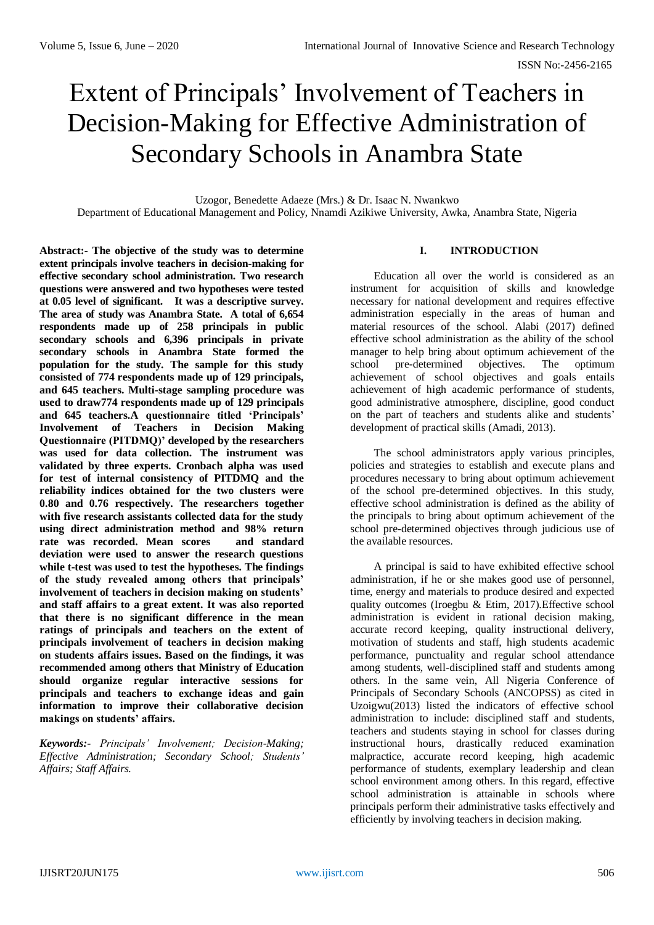# Extent of Principals' Involvement of Teachers in Decision-Making for Effective Administration of Secondary Schools in Anambra State

Uzogor, Benedette Adaeze (Mrs.) & Dr. Isaac N. Nwankwo Department of Educational Management and Policy, Nnamdi Azikiwe University, Awka, Anambra State, Nigeria

**Abstract:- The objective of the study was to determine extent principals involve teachers in decision-making for effective secondary school administration. Two research questions were answered and two hypotheses were tested at 0.05 level of significant. It was a descriptive survey. The area of study was Anambra State. A total of 6,654 respondents made up of 258 principals in public secondary schools and 6,396 principals in private secondary schools in Anambra State formed the population for the study. The sample for this study consisted of 774 respondents made up of 129 principals, and 645 teachers. Multi-stage sampling procedure was used to draw774 respondents made up of 129 principals and 645 teachers.A questionnaire titled 'Principals' Involvement of Teachers in Decision Making Questionnaire (PITDMQ)' developed by the researchers was used for data collection. The instrument was validated by three experts. Cronbach alpha was used for test of internal consistency of PITDMQ and the reliability indices obtained for the two clusters were 0.80 and 0.76 respectively. The researchers together with five research assistants collected data for the study using direct administration method and 98% return rate was recorded. Mean scores and standard deviation were used to answer the research questions while t-test was used to test the hypotheses. The findings of the study revealed among others that principals' involvement of teachers in decision making on students' and staff affairs to a great extent. It was also reported that there is no significant difference in the mean ratings of principals and teachers on the extent of principals involvement of teachers in decision making on students affairs issues. Based on the findings, it was recommended among others that Ministry of Education should organize regular interactive sessions for principals and teachers to exchange ideas and gain information to improve their collaborative decision makings on students' affairs.** 

*Keywords:- Principals' Involvement; Decision-Making; Effective Administration; Secondary School; Students' Affairs; Staff Affairs.*

# **I. INTRODUCTION**

Education all over the world is considered as an instrument for acquisition of skills and knowledge necessary for national development and requires effective administration especially in the areas of human and material resources of the school. Alabi (2017) defined effective school administration as the ability of the school manager to help bring about optimum achievement of the school pre-determined objectives. The optimum achievement of school objectives and goals entails achievement of high academic performance of students, good administrative atmosphere, discipline, good conduct on the part of teachers and students alike and students' development of practical skills (Amadi, 2013).

The school administrators apply various principles, policies and strategies to establish and execute plans and procedures necessary to bring about optimum achievement of the school pre-determined objectives. In this study, effective school administration is defined as the ability of the principals to bring about optimum achievement of the school pre-determined objectives through judicious use of the available resources.

A principal is said to have exhibited effective school administration, if he or she makes good use of personnel, time, energy and materials to produce desired and expected quality outcomes (Iroegbu & Etim, 2017).Effective school administration is evident in rational decision making, accurate record keeping, quality instructional delivery, motivation of students and staff, high students academic performance, punctuality and regular school attendance among students, well-disciplined staff and students among others. In the same vein, All Nigeria Conference of Principals of Secondary Schools (ANCOPSS) as cited in Uzoigwu(2013) listed the indicators of effective school administration to include: disciplined staff and students, teachers and students staying in school for classes during instructional hours, drastically reduced examination malpractice, accurate record keeping, high academic performance of students, exemplary leadership and clean school environment among others. In this regard, effective school administration is attainable in schools where principals perform their administrative tasks effectively and efficiently by involving teachers in decision making.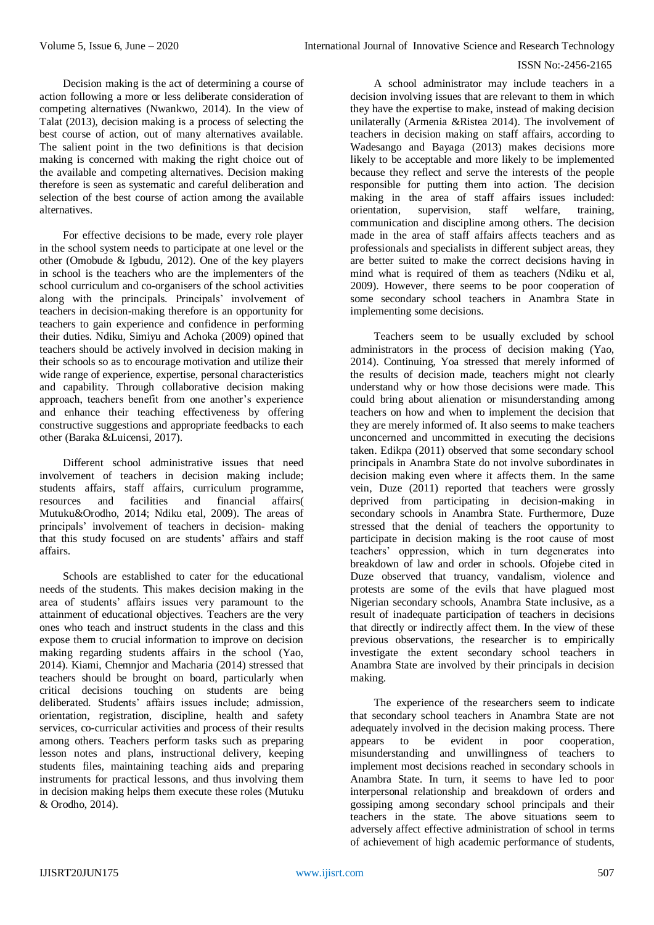Decision making is the act of determining a course of action following a more or less deliberate consideration of competing alternatives (Nwankwo, 2014). In the view of Talat (2013), decision making is a process of selecting the best course of action, out of many alternatives available. The salient point in the two definitions is that decision making is concerned with making the right choice out of the available and competing alternatives. Decision making therefore is seen as systematic and careful deliberation and selection of the best course of action among the available alternatives.

For effective decisions to be made, every role player in the school system needs to participate at one level or the other (Omobude & Igbudu, 2012). One of the key players in school is the teachers who are the implementers of the school curriculum and co-organisers of the school activities along with the principals. Principals' involvement of teachers in decision-making therefore is an opportunity for teachers to gain experience and confidence in performing their duties. Ndiku, Simiyu and Achoka (2009) opined that teachers should be actively involved in decision making in their schools so as to encourage motivation and utilize their wide range of experience, expertise, personal characteristics and capability. Through collaborative decision making approach, teachers benefit from one another's experience and enhance their teaching effectiveness by offering constructive suggestions and appropriate feedbacks to each other (Baraka &Luicensi, 2017).

Different school administrative issues that need involvement of teachers in decision making include; students affairs, staff affairs, curriculum programme, resources and facilities and financial affairs( Mutuku&Orodho, 2014; Ndiku etal, 2009). The areas of principals' involvement of teachers in decision- making that this study focused on are students' affairs and staff affairs.

Schools are established to cater for the educational needs of the students. This makes decision making in the area of students' affairs issues very paramount to the attainment of educational objectives. Teachers are the very ones who teach and instruct students in the class and this expose them to crucial information to improve on decision making regarding students affairs in the school (Yao, 2014). Kiami, Chemnjor and Macharia (2014) stressed that teachers should be brought on board, particularly when critical decisions touching on students are being deliberated. Students' affairs issues include; admission, orientation, registration, discipline, health and safety services, co-curricular activities and process of their results among others. Teachers perform tasks such as preparing lesson notes and plans, instructional delivery, keeping students files, maintaining teaching aids and preparing instruments for practical lessons, and thus involving them in decision making helps them execute these roles (Mutuku & Orodho, 2014).

A school administrator may include teachers in a decision involving issues that are relevant to them in which they have the expertise to make, instead of making decision unilaterally (Armenia &Ristea 2014). The involvement of teachers in decision making on staff affairs, according to Wadesango and Bayaga (2013) makes decisions more likely to be acceptable and more likely to be implemented because they reflect and serve the interests of the people responsible for putting them into action. The decision making in the area of staff affairs issues included: orientation, supervision, staff welfare, training, communication and discipline among others. The decision made in the area of staff affairs affects teachers and as professionals and specialists in different subject areas, they are better suited to make the correct decisions having in mind what is required of them as teachers (Ndiku et al, 2009). However, there seems to be poor cooperation of some secondary school teachers in Anambra State in implementing some decisions.

Teachers seem to be usually excluded by school administrators in the process of decision making (Yao, 2014). Continuing, Yoa stressed that merely informed of the results of decision made, teachers might not clearly understand why or how those decisions were made. This could bring about alienation or misunderstanding among teachers on how and when to implement the decision that they are merely informed of. It also seems to make teachers unconcerned and uncommitted in executing the decisions taken. Edikpa (2011) observed that some secondary school principals in Anambra State do not involve subordinates in decision making even where it affects them. In the same vein, Duze  $(2011)$  reported that teachers were grossly deprived from participating in decision-making in secondary schools in Anambra State. Furthermore, Duze stressed that the denial of teachers the opportunity to participate in decision making is the root cause of most teachers' oppression, which in turn degenerates into breakdown of law and order in schools. Ofojebe cited in Duze observed that truancy, vandalism, violence and protests are some of the evils that have plagued most Nigerian secondary schools, Anambra State inclusive, as a result of inadequate participation of teachers in decisions that directly or indirectly affect them. In the view of these previous observations, the researcher is to empirically investigate the extent secondary school teachers in Anambra State are involved by their principals in decision making.

The experience of the researchers seem to indicate that secondary school teachers in Anambra State are not adequately involved in the decision making process. There appears to be evident in poor cooperation, misunderstanding and unwillingness of teachers to implement most decisions reached in secondary schools in Anambra State. In turn, it seems to have led to poor interpersonal relationship and breakdown of orders and gossiping among secondary school principals and their teachers in the state. The above situations seem to adversely affect effective administration of school in terms of achievement of high academic performance of students,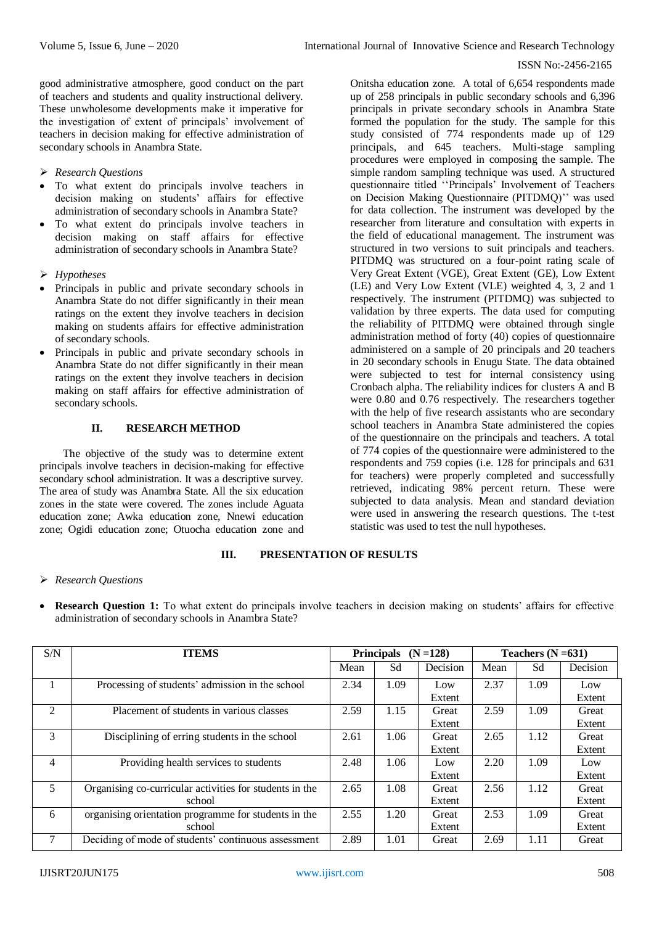good administrative atmosphere, good conduct on the part of teachers and students and quality instructional delivery. These unwholesome developments make it imperative for the investigation of extent of principals' involvement of teachers in decision making for effective administration of secondary schools in Anambra State.

- *Research Questions*
- To what extent do principals involve teachers in decision making on students' affairs for effective administration of secondary schools in Anambra State?
- To what extent do principals involve teachers in decision making on staff affairs for effective administration of secondary schools in Anambra State?
- *Hypotheses*
- Principals in public and private secondary schools in Anambra State do not differ significantly in their mean ratings on the extent they involve teachers in decision making on students affairs for effective administration of secondary schools.
- Principals in public and private secondary schools in Anambra State do not differ significantly in their mean ratings on the extent they involve teachers in decision making on staff affairs for effective administration of secondary schools.

## **II. RESEARCH METHOD**

The objective of the study was to determine extent principals involve teachers in decision-making for effective secondary school administration. It was a descriptive survey. The area of study was Anambra State. All the six education zones in the state were covered. The zones include Aguata education zone; Awka education zone, Nnewi education zone; Ogidi education zone; Otuocha education zone and

Onitsha education zone. A total of 6,654 respondents made up of 258 principals in public secondary schools and 6,396 principals in private secondary schools in Anambra State formed the population for the study. The sample for this study consisted of 774 respondents made up of 129 principals, and 645 teachers. Multi-stage sampling procedures were employed in composing the sample. The simple random sampling technique was used. A structured questionnaire titled ''Principals' Involvement of Teachers on Decision Making Questionnaire (PITDMQ)'' was used for data collection. The instrument was developed by the researcher from literature and consultation with experts in the field of educational management. The instrument was structured in two versions to suit principals and teachers. PITDMQ was structured on a four-point rating scale of Very Great Extent (VGE), Great Extent (GE), Low Extent (LE) and Very Low Extent (VLE) weighted 4, 3, 2 and 1 respectively. The instrument (PITDMQ) was subjected to validation by three experts. The data used for computing the reliability of PITDMQ were obtained through single administration method of forty (40) copies of questionnaire administered on a sample of 20 principals and 20 teachers in 20 secondary schools in Enugu State. The data obtained were subjected to test for internal consistency using Cronbach alpha. The reliability indices for clusters A and B were 0.80 and 0.76 respectively. The researchers together with the help of five research assistants who are secondary school teachers in Anambra State administered the copies of the questionnaire on the principals and teachers. A total of 774 copies of the questionnaire were administered to the respondents and 759 copies (i.e. 128 for principals and 631 for teachers) were properly completed and successfully retrieved, indicating 98% percent return. These were subjected to data analysis. Mean and standard deviation were used in answering the research questions. The t-test statistic was used to test the null hypotheses.

## **III. PRESENTATION OF RESULTS**

#### *Research Questions*

 **Research Question 1:** To what extent do principals involve teachers in decision making on students' affairs for effective administration of secondary schools in Anambra State?

| S/N            | <b>ITEMS</b>                                            |      | <b>Principals</b> | $(N = 128)$ | Teachers $(N = 631)$ |      |          |
|----------------|---------------------------------------------------------|------|-------------------|-------------|----------------------|------|----------|
|                |                                                         | Mean | Sd                | Decision    | Mean                 | Sd   | Decision |
|                | Processing of students' admission in the school         |      | 1.09              | Low         | 2.37                 | 1.09 | Low      |
|                |                                                         |      |                   | Extent      |                      |      | Extent   |
| $\mathfrak{D}$ | Placement of students in various classes                | 2.59 | 1.15              | Great       | 2.59                 | 1.09 | Great    |
|                |                                                         |      |                   | Extent      |                      |      | Extent   |
| 3              | Disciplining of erring students in the school           | 2.61 | 1.06              | Great       | 2.65                 | 1.12 | Great    |
|                |                                                         |      |                   | Extent      |                      |      | Extent   |
| 4              | Providing health services to students                   |      | 1.06              | Low         | 2.20                 | 1.09 | Low      |
|                |                                                         |      |                   | Extent      |                      |      | Extent   |
| 5              | Organising co-curricular activities for students in the | 2.65 | 1.08              | Great       | 2.56                 | 1.12 | Great    |
|                | school                                                  |      |                   | Extent      |                      |      | Extent   |
| 6              | organising orientation programme for students in the    | 2.55 | 1.20              | Great       | 2.53                 | 1.09 | Great    |
|                | school                                                  |      |                   | Extent      |                      |      | Extent   |
| 7              | Deciding of mode of students' continuous assessment     | 2.89 | 1.01              | Great       | 2.69                 | 1.11 | Great    |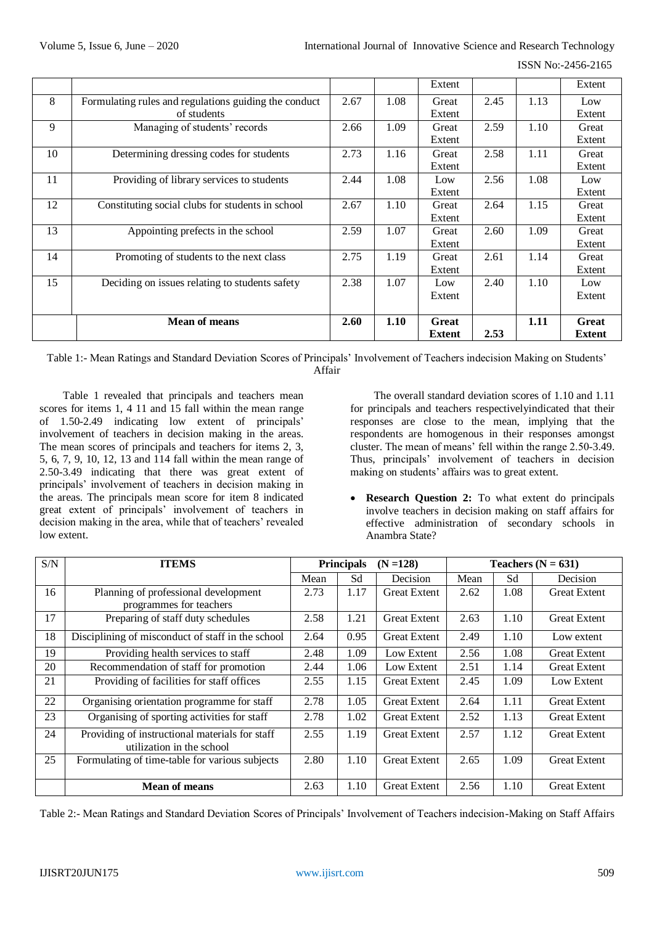ISSN No:-2456-2165

|    |                                                       |      |      | Extent        |      |      | Extent        |
|----|-------------------------------------------------------|------|------|---------------|------|------|---------------|
| 8  | Formulating rules and regulations guiding the conduct | 2.67 | 1.08 | Great         | 2.45 | 1.13 | Low           |
|    | of students                                           |      |      | Extent        |      |      | Extent        |
| 9  | Managing of students' records                         | 2.66 | 1.09 | Great         | 2.59 | 1.10 | Great         |
|    |                                                       |      |      | Extent        |      |      | Extent        |
| 10 | Determining dressing codes for students               | 2.73 | 1.16 | Great         | 2.58 | 1.11 | Great         |
|    |                                                       |      |      | Extent        |      |      | Extent        |
| 11 | Providing of library services to students             | 2.44 | 1.08 | Low           | 2.56 | 1.08 | Low           |
|    |                                                       |      |      | Extent        |      |      | Extent        |
| 12 | Constituting social clubs for students in school      | 2.67 | 1.10 | Great         | 2.64 | 1.15 | Great         |
|    |                                                       |      |      | Extent        |      |      | Extent        |
| 13 | Appointing prefects in the school                     | 2.59 | 1.07 | Great         | 2.60 | 1.09 | Great         |
|    |                                                       |      |      | Extent        |      |      | Extent        |
| 14 | Promoting of students to the next class               | 2.75 | 1.19 | Great         | 2.61 | 1.14 | Great         |
|    |                                                       |      |      | Extent        |      |      | Extent        |
| 15 | Deciding on issues relating to students safety        | 2.38 | 1.07 | Low           | 2.40 | 1.10 | Low           |
|    |                                                       |      |      | Extent        |      |      | Extent        |
|    |                                                       |      |      |               |      |      |               |
|    | <b>Mean of means</b>                                  | 2.60 | 1.10 | Great         |      | 1.11 | <b>Great</b>  |
|    |                                                       |      |      | <b>Extent</b> | 2.53 |      | <b>Extent</b> |

Table 1:- Mean Ratings and Standard Deviation Scores of Principals' Involvement of Teachers indecision Making on Students' Affair

Table 1 revealed that principals and teachers mean scores for items 1, 4 11 and 15 fall within the mean range of 1.50-2.49 indicating low extent of principals' involvement of teachers in decision making in the areas. The mean scores of principals and teachers for items 2, 3, 5, 6, 7, 9, 10, 12, 13 and 114 fall within the mean range of 2.50-3.49 indicating that there was great extent of principals' involvement of teachers in decision making in the areas. The principals mean score for item 8 indicated great extent of principals' involvement of teachers in decision making in the area, while that of teachers' revealed low extent.

The overall standard deviation scores of 1.10 and 1.11 for principals and teachers respectivelyindicated that their responses are close to the mean, implying that the respondents are homogenous in their responses amongst cluster. The mean of means' fell within the range 2.50-3.49. Thus, principals' involvement of teachers in decision making on students' affairs was to great extent.

• Research Question 2: To what extent do principals involve teachers in decision making on staff affairs for effective administration of secondary schools in Anambra State?

| S/N | <b>ITEMS</b>                                                                | <b>Principals</b> |      | $(N = 128)$         | Teachers $(N = 631)$ |      |                     |
|-----|-----------------------------------------------------------------------------|-------------------|------|---------------------|----------------------|------|---------------------|
|     |                                                                             | Mean              | Sd   | Decision            | Mean                 | Sd   | Decision            |
| 16  | Planning of professional development<br>programmes for teachers             | 2.73              | 1.17 | <b>Great Extent</b> | 2.62                 | 1.08 | <b>Great Extent</b> |
| 17  | Preparing of staff duty schedules                                           | 2.58              | 1.21 | <b>Great Extent</b> | 2.63                 | 1.10 | <b>Great Extent</b> |
| 18  | Disciplining of misconduct of staff in the school                           | 2.64              | 0.95 | <b>Great Extent</b> | 2.49                 | 1.10 | Low extent          |
| 19  | Providing health services to staff                                          | 2.48              | 1.09 | Low Extent          | 2.56                 | 1.08 | <b>Great Extent</b> |
| 20  | Recommendation of staff for promotion                                       | 2.44              | 1.06 | Low Extent          | 2.51                 | 1.14 | <b>Great Extent</b> |
| 21  | Providing of facilities for staff offices                                   | 2.55              | 1.15 | <b>Great Extent</b> | 2.45                 | 1.09 | Low Extent          |
| 22  | Organising orientation programme for staff                                  | 2.78              | 1.05 | <b>Great Extent</b> | 2.64                 | 1.11 | <b>Great Extent</b> |
| 23  | Organising of sporting activities for staff                                 | 2.78              | 1.02 | <b>Great Extent</b> | 2.52                 | 1.13 | <b>Great Extent</b> |
| 24  | Providing of instructional materials for staff<br>utilization in the school | 2.55              | 1.19 | <b>Great Extent</b> | 2.57                 | 1.12 | <b>Great Extent</b> |
| 25  | Formulating of time-table for various subjects                              | 2.80              | 1.10 | <b>Great Extent</b> | 2.65                 | 1.09 | <b>Great Extent</b> |
|     | <b>Mean of means</b>                                                        | 2.63              | 1.10 | <b>Great Extent</b> | 2.56                 | 1.10 | <b>Great Extent</b> |

Table 2:- Mean Ratings and Standard Deviation Scores of Principals' Involvement of Teachers indecision-Making on Staff Affairs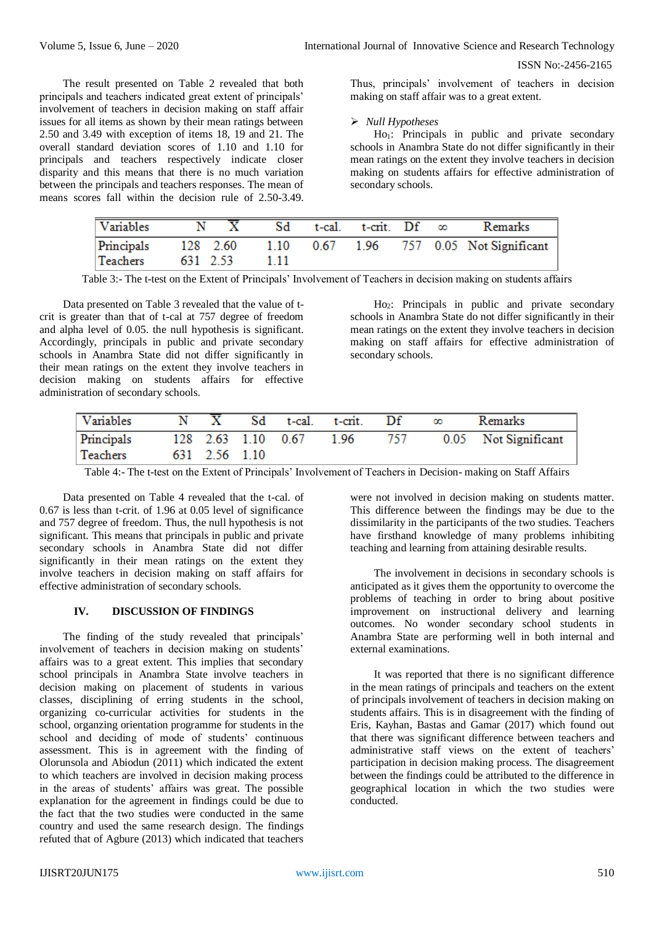The result presented on Table 2 revealed that both principals and teachers indicated great extent of principals' involvement of teachers in decision making on staff affair issues for all items as shown by their mean ratings between 2.50 and 3.49 with exception of items 18, 19 and 21. The overall standard deviation scores of 1.10 and 1.10 for principals and teachers respectively indicate closer disparity and this means that there is no much variation between the principals and teachers responses. The mean of means scores fall within the decision rule of 2.50-3.49. Thus, principals' involvement of teachers in decision making on staff affair was to a great extent.

## *Null Hypotheses*

Ho<sub>1</sub>: Principals in public and private secondary schools in Anambra State do not differ significantly in their mean ratings on the extent they involve teachers in decision making on students affairs for effective administration of secondary schools.

| Variables | $\mathbf N$ | $\overline{X}$ Sd | t-cal. t-crit. Df $\infty$ |  | Remarks                                                     |
|-----------|-------------|-------------------|----------------------------|--|-------------------------------------------------------------|
| Teachers  | 631 2.53    | - 1 1 1 1         |                            |  | Principals 128 2.60 1.10 0.67 1.96 757 0.05 Not Significant |

Table 3:- The t-test on the Extent of Principals' Involvement of Teachers in decision making on students affairs

Data presented on Table 3 revealed that the value of tcrit is greater than that of t-cal at 757 degree of freedom and alpha level of 0.05. the null hypothesis is significant. Accordingly, principals in public and private secondary schools in Anambra State did not differ significantly in their mean ratings on the extent they involve teachers in decision making on students affairs for effective administration of secondary schools.

Ho2: Principals in public and private secondary schools in Anambra State do not differ significantly in their mean ratings on the extent they involve teachers in decision making on staff affairs for effective administration of secondary schools.

| Variables  |               | Sd t-cal. t-crit.       | $\mathbf{D} \mathbf{f}$ | Remarks              |
|------------|---------------|-------------------------|-------------------------|----------------------|
| Principals |               | 128 2.63 1.10 0.67 1.96 | - 757                   | 0.05 Not Significant |
| Teachers   | 631 2.56 1.10 |                         |                         |                      |

Table 4:- The t-test on the Extent of Principals' Involvement of Teachers in Decision- making on Staff Affairs

Data presented on Table 4 revealed that the t-cal. of 0.67 is less than t-crit. of 1.96 at 0.05 level of significance and 757 degree of freedom. Thus, the null hypothesis is not significant. This means that principals in public and private secondary schools in Anambra State did not differ significantly in their mean ratings on the extent they involve teachers in decision making on staff affairs for effective administration of secondary schools.

#### **IV. DISCUSSION OF FINDINGS**

The finding of the study revealed that principals' involvement of teachers in decision making on students' affairs was to a great extent. This implies that secondary school principals in Anambra State involve teachers in decision making on placement of students in various classes, disciplining of erring students in the school, organizing co-curricular activities for students in the school, organzing orientation programme for students in the school and deciding of mode of students' continuous assessment. This is in agreement with the finding of Olorunsola and Abiodun (2011) which indicated the extent to which teachers are involved in decision making process in the areas of students' affairs was great. The possible explanation for the agreement in findings could be due to the fact that the two studies were conducted in the same country and used the same research design. The findings refuted that of Agbure (2013) which indicated that teachers

were not involved in decision making on students matter. This difference between the findings may be due to the dissimilarity in the participants of the two studies. Teachers have firsthand knowledge of many problems inhibiting teaching and learning from attaining desirable results.

The involvement in decisions in secondary schools is anticipated as it gives them the opportunity to overcome the problems of teaching in order to bring about positive improvement on instructional delivery and learning outcomes. No wonder secondary school students in Anambra State are performing well in both internal and external examinations.

It was reported that there is no significant difference in the mean ratings of principals and teachers on the extent of principals involvement of teachers in decision making on students affairs. This is in disagreement with the finding of Eris, Kayhan, Bastas and Gamar (2017) which found out that there was significant difference between teachers and administrative staff views on the extent of teachers' participation in decision making process. The disagreement between the findings could be attributed to the difference in geographical location in which the two studies were conducted.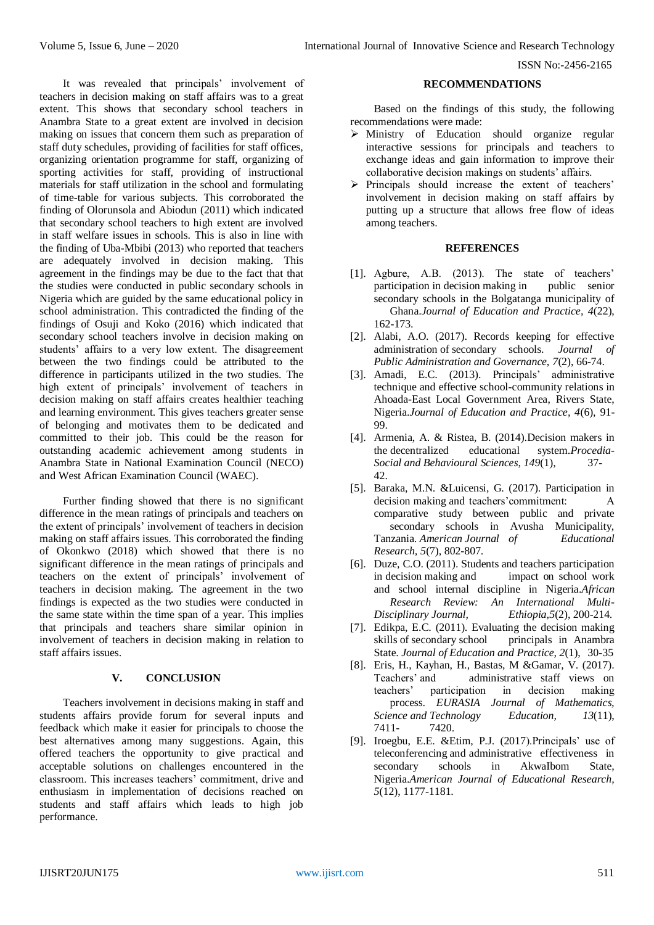It was revealed that principals' involvement of teachers in decision making on staff affairs was to a great extent. This shows that secondary school teachers in Anambra State to a great extent are involved in decision making on issues that concern them such as preparation of staff duty schedules, providing of facilities for staff offices, organizing orientation programme for staff, organizing of sporting activities for staff, providing of instructional materials for staff utilization in the school and formulating of time-table for various subjects. This corroborated the finding of Olorunsola and Abiodun (2011) which indicated that secondary school teachers to high extent are involved in staff welfare issues in schools. This is also in line with the finding of Uba-Mbibi (2013) who reported that teachers are adequately involved in decision making. This agreement in the findings may be due to the fact that that the studies were conducted in public secondary schools in Nigeria which are guided by the same educational policy in school administration. This contradicted the finding of the findings of Osuji and Koko (2016) which indicated that secondary school teachers involve in decision making on students' affairs to a very low extent. The disagreement between the two findings could be attributed to the difference in participants utilized in the two studies. The high extent of principals' involvement of teachers in decision making on staff affairs creates healthier teaching and learning environment. This gives teachers greater sense of belonging and motivates them to be dedicated and committed to their job. This could be the reason for outstanding academic achievement among students in Anambra State in National Examination Council (NECO) and West African Examination Council (WAEC).

Further finding showed that there is no significant difference in the mean ratings of principals and teachers on the extent of principals' involvement of teachers in decision making on staff affairs issues. This corroborated the finding of Okonkwo (2018) which showed that there is no significant difference in the mean ratings of principals and teachers on the extent of principals' involvement of teachers in decision making. The agreement in the two findings is expected as the two studies were conducted in the same state within the time span of a year. This implies that principals and teachers share similar opinion in involvement of teachers in decision making in relation to staff affairs issues.

## **V. CONCLUSION**

Teachers involvement in decisions making in staff and students affairs provide forum for several inputs and feedback which make it easier for principals to choose the best alternatives among many suggestions. Again, this offered teachers the opportunity to give practical and acceptable solutions on challenges encountered in the classroom. This increases teachers' commitment, drive and enthusiasm in implementation of decisions reached on students and staff affairs which leads to high job performance.

## **RECOMMENDATIONS**

Based on the findings of this study, the following recommendations were made:

- Ministry of Education should organize regular interactive sessions for principals and teachers to exchange ideas and gain information to improve their collaborative decision makings on students' affairs.
- $\triangleright$  Principals should increase the extent of teachers' involvement in decision making on staff affairs by putting up a structure that allows free flow of ideas among teachers.

## **REFERENCES**

- [1]. Agbure, A.B. (2013). The state of teachers' participation in decision making in public senior secondary schools in the Bolgatanga municipality of Ghana.*Journal of Education and Practice, 4*(22), 162-173.
- [2]. Alabi, A.O. (2017). Records keeping for effective administration of secondary schools. *Journal of Public Administration and Governance, 7*(2), 66-74.
- [3]. Amadi, E.C. (2013). Principals' administrative technique and effective school-community relations in Ahoada-East Local Government Area, Rivers State, Nigeria.*Journal of Education and Practice, 4*(6), 91- 99.
- [4]. Armenia, A. & Ristea, B. (2014).Decision makers in the decentralized educational system.*Procedia-Social and Behavioural Sciences, 149*(1), 37- 42.
- [5]. Baraka, M.N. &Luicensi, G. (2017). Participation in decision making and teachers'commitment: A comparative study between public and private secondary schools in Avusha Municipality, Tanzania. *American Journal of Educational Research, 5*(7), 802-807.
- [6]. Duze, C.O. (2011). Students and teachers participation in decision making and impact on school work and school internal discipline in Nigeria.*African Research Review: An International Multi-Disciplinary Journal, Ethiopia,5*(2), 200-214.
- [7]. Edikpa, E.C. (2011). Evaluating the decision making skills of secondary school principals in Anambra State. *Journal of Education and Practice, 2*(1), 30-35
- [8]. Eris, H., Kayhan, H., Bastas, M &Gamar, V. (2017). Teachers' and administrative staff views on teachers' participation in decision making process. *EURASIA Journal of Mathematics, Science and Technology Education, 13*(11), 7411- 7420.
- [9]. Iroegbu, E.E. &Etim, P.J. (2017).Principals' use of teleconferencing and administrative effectiveness in secondary schools in AkwaIbom State, Nigeria.*American Journal of Educational Research, 5*(12), 1177-1181.